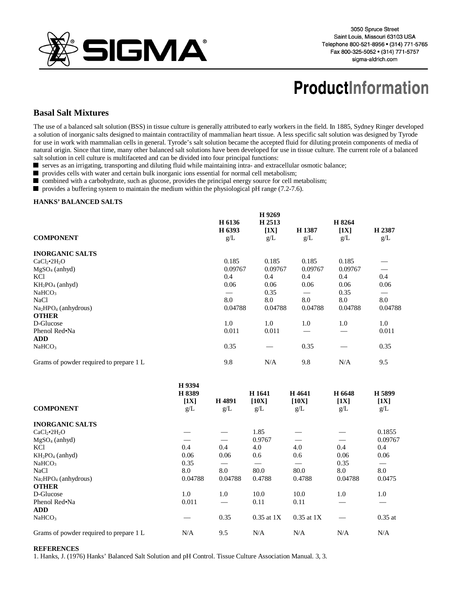

## **ProductInformation**

## **Basal Salt Mixtures**

The use of a balanced salt solution (BSS) in tissue culture is generally attributed to early workers in the field. In 1885, Sydney Ringer developed a solution of inorganic salts designed to maintain contractility of mammalian heart tissue. A less specific salt solution was designed by Tyrode for use in work with mammalian cells in general. Tyrode's salt solution became the accepted fluid for diluting protein components of media of natural origin. Since that time, many other balanced salt solutions have been developed for use in tissue culture. The current role of a balanced salt solution in cell culture is multifaceted and can be divided into four principal functions:

serves as an irrigating, transporting and diluting fluid while maintaining intra- and extracellular osmotic balance;

provides cells with water and certain bulk inorganic ions essential for normal cell metabolism;

combined with a carbohydrate, such as glucose, provides the principal energy source for cell metabolism;

provides a buffering system to maintain the medium within the physiological pH range  $(7.2-7.6)$ .

## **HANKS' BALANCED SALTS**

|                                         | H 6136        | H 9269<br>H 2513 |               |                          |               |
|-----------------------------------------|---------------|------------------|---------------|--------------------------|---------------|
| <b>COMPONENT</b>                        | H 6393<br>g/L | [1X]<br>g/L      | H 1387<br>g/L | $\left[1X\right]$<br>g/L | H 2387<br>g/L |
| <b>INORGANIC SALTS</b>                  |               |                  |               |                          |               |
| CaCl <sub>2</sub> •2H <sub>2</sub> O    | 0.185         | 0.185            | 0.185         | 0.185                    |               |
| $MgSO4$ (anhyd)                         | 0.09767       | 0.09767          | 0.09767       | 0.09767                  |               |
| KC <sub>1</sub>                         | 0.4           | 0.4              | 0.4           | 0.4                      | 0.4           |
| $KH_2PO_4$ (anhyd)                      | 0.06          | 0.06             | 0.06          | 0.06                     | 0.06          |
| NaHCO <sub>3</sub>                      |               | 0.35             |               | 0.35                     |               |
| <b>NaCl</b>                             | 8.0           | 8.0              | 8.0           | 8.0                      | 8.0           |
| $Na2HPO4$ (anhydrous)                   | 0.04788       | 0.04788          | 0.04788       | 0.04788                  | 0.04788       |
| <b>OTHER</b>                            |               |                  |               |                          |               |
| D-Glucose                               | 1.0           | 1.0              | 1.0           | 1.0                      | 1.0           |
| Phenol Red•Na                           | 0.011         | 0.011            |               |                          | 0.011         |
| <b>ADD</b>                              |               |                  |               |                          |               |
| NaHCO <sub>3</sub>                      | 0.35          |                  | 0.35          |                          | 0.35          |
| Grams of powder required to prepare 1 L | 9.8           | N/A              | 9.8           | N/A                      | 9.5           |

| H 5899<br>H 6648<br>[1X]<br>[1X]<br>g/L |
|-----------------------------------------|
|                                         |
| 0.1855                                  |
| 0.09767                                 |
| 0.4                                     |
| 0.06<br>0.06                            |
| 0.35                                    |
| 8.0                                     |
| 0.04788<br>0.0475                       |
|                                         |
| 1.0                                     |
|                                         |
|                                         |
| $0.35$ at                               |
| N/A                                     |
| g/L<br>N/A                              |

## **REFERENCES**

1. Hanks, J. (1976) Hanks' Balanced Salt Solution and pH Control. Tissue Culture Association Manual. 3, 3.

**H 9394**